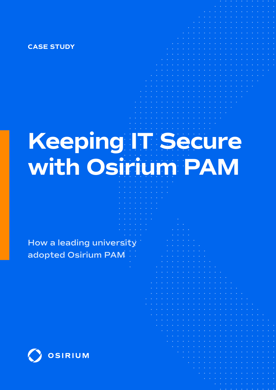**CASE STUDY**

# **Keeping IT Secure with Osirium PAM**

**How a leading university adopted Osirium PAM**

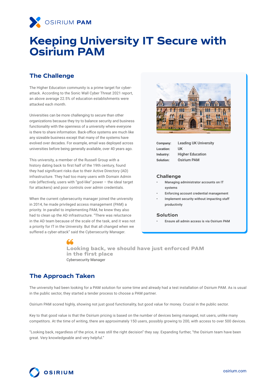

## **Keeping University IT Secure with Osirium PAM**

#### **The Challenge**

The Higher Education community is a prime target for cyberattack. According to the Sonic Wall Cyber Threat 2021 report, an above average 22.5% of education establishments were attacked each month.

Universities can be more challenging to secure than other organizations because they try to balance security and business functionality with the openness of a university where everyone is there to share information. Back-office systems are much like any sizeable business except that many of the systems have evolved over decades. For example, email was deployed across universities before being generally available, over 40 years ago.

This university, a member of the Russell Group with a history dating back to first half of the 19th century, found they had significant risks due to their Active Directory (AD) infrastructure. They had too many users with Domain Admin role (effectively, users with "god-like" power – the ideal target for attackers) and poor controls over admin credentials.

When the current cybersecurity manager joined the university in 2014, he made privileged access management (PAM) a priority. In parallel to implementing PAM, he knew they also had to clean up the AD infrastructure. "There was reluctance in the AD team because of the scale of the task, and it was not a priority for IT in the University. But that all changed when we suffered a cyber-attack" said the Cybersecurity Manager.



| Company:  | <b>Leading UK University</b> |
|-----------|------------------------------|
| Location: | UK                           |
| Industry: | <b>Higher Education</b>      |
| Solution: | <b>Osirium PAM</b>           |

#### **Challenge**

- Managing administrator accounts on IT systems
- Enforcing account credential management
- Implement security without impacting staff productivity

#### **Solution**

• Ensure all admin access is via Osirium PAM

**Looking back, we should have just enforced PAM in the first place** Cybersecurity Manager

## **The Approach Taken**

The university had been looking for a PAM solution for some time and already had a test installation of Osirium PAM. As is usual in the public sector, they started a tender process to choose a PAM partner.

Osirium PAM scored highly, showing not just good functionality, but good value for money. Crucial in the public sector.

Key to that good value is that the Osirium pricing is based on the number of devices being managed, not users, unlike many competitors. At the time of writing, there are approximately 150 users, possibly growing to 200, with access to over 500 devices.

"Looking back, regardless of the price, it was still the right decision" they say. Expanding further, "the Osirium team have been great. Very knowledgeable and very helpful."

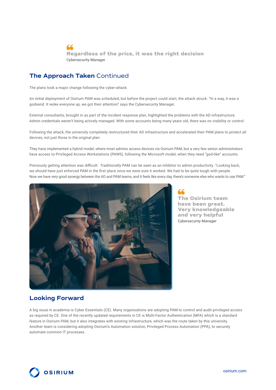66 **Regardless of the price, it was the right decision** Cybersecurity Manager

#### **The Approach Taken** Continued

The plans took a major change following the cyber-attack.

An initial deployment of Osirium PAM was scheduled, but before the project could start, the attack struck. "In a way, it was a godsend. It woke everyone up, we got their attention" says the Cybersecurity Manager.

External consultants, brought in as part of the incident response plan, highlighted the problems with the AD infrastructure. Admin credentials weren't being actively managed. With some accounts being many years old, there was no visibility or control.

Following the attack, the university completely restructured their AD infrastructure and accelerated their PAM plans to protect all devices, not just those in the original plan.

They have implemented a hybrid model, where most admins access devices via Osirium PAM, but a very few senior administrators have access to Privileged Access Workstations (PAWS), following the Microsoft model, when they need "god-like" accounts.

Previously getting attention was difficult. Traditionally PAM can be seen as an inhibitor to admin productivity. "Looking back, we should have just enforced PAM in the first place once we were sure it worked. We had to be quite tough with people. Now we have very good synergy between the AD and PAM teams, and it feels like every day, there's someone else who wants to use PAM."



**The Osirium team have been great. Very knowledgeable and very helpful** Cybersecurity Manager

### **Looking Forward**

A big issue in academia is Cyber Essentials (CE). Many organisations are adopting PAM to control and audit privileged access as required by CE. One of the recently updated requirements in CE is Multi-Factor Authentication (MFA) which is a standard feature in Osirium PAM, but it also integrates with existing infrastructure, which was the route taken by this university. Another team is considering adopting Osirium's Automation solution, Privileged Process Automation (PPA), to securely automate common IT processes.